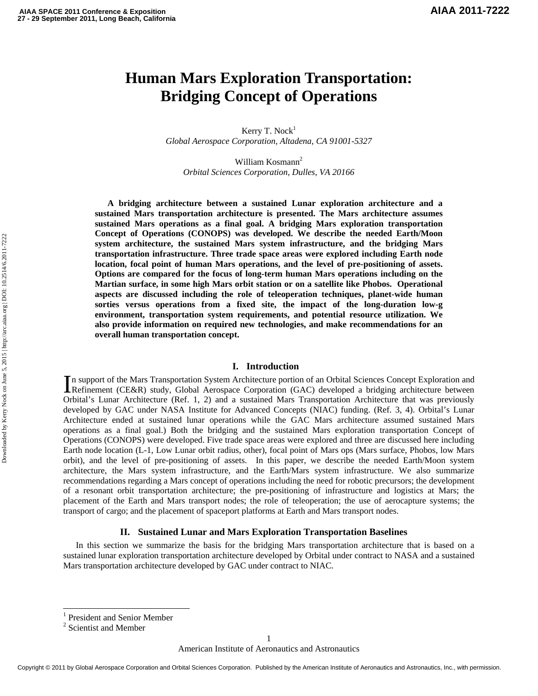# **Human Mars Exploration Transportation: Bridging Concept of Operations**

Kerry T. Nock $1$ *Global Aerospace Corporation, Altadena, CA 91001-5327* 

William Kosmann<sup>2</sup> *Orbital Sciences Corporation, Dulles, VA 20166* 

**A bridging architecture between a sustained Lunar exploration architecture and a sustained Mars transportation architecture is presented. The Mars architecture assumes sustained Mars operations as a final goal. A bridging Mars exploration transportation Concept of Operations (CONOPS) was developed. We describe the needed Earth/Moon system architecture, the sustained Mars system infrastructure, and the bridging Mars transportation infrastructure. Three trade space areas were explored including Earth node location, focal point of human Mars operations, and the level of pre-positioning of assets. Options are compared for the focus of long-term human Mars operations including on the Martian surface, in some high Mars orbit station or on a satellite like Phobos. Operational aspects are discussed including the role of teleoperation techniques, planet-wide human sorties versus operations from a fixed site, the impact of the long-duration low-g environment, transportation system requirements, and potential resource utilization. We also provide information on required new technologies, and make recommendations for an overall human transportation concept.** 

# **I. Introduction**

n support of the Mars Transportation System Architecture portion of an Orbital Sciences Concept Exploration and In support of the Mars Transportation System Architecture portion of an Orbital Sciences Concept Exploration and Refinement (CE&R) study, Global Aerospace Corporation (GAC) developed a bridging architecture between Orbital's Lunar Architecture (Ref. 1, 2) and a sustained Mars Transportation Architecture that was previously developed by GAC under NASA Institute for Advanced Concepts (NIAC) funding. (Ref. 3, 4). Orbital's Lunar Architecture ended at sustained lunar operations while the GAC Mars architecture assumed sustained Mars operations as a final goal.) Both the bridging and the sustained Mars exploration transportation Concept of Operations (CONOPS) were developed. Five trade space areas were explored and three are discussed here including Earth node location (L-1, Low Lunar orbit radius, other), focal point of Mars ops (Mars surface, Phobos, low Mars orbit), and the level of pre-positioning of assets. In this paper, we describe the needed Earth/Moon system architecture, the Mars system infrastructure, and the Earth/Mars system infrastructure. We also summarize recommendations regarding a Mars concept of operations including the need for robotic precursors; the development of a resonant orbit transportation architecture; the pre-positioning of infrastructure and logistics at Mars; the placement of the Earth and Mars transport nodes; the role of teleoperation; the use of aerocapture systems; the transport of cargo; and the placement of spaceport platforms at Earth and Mars transport nodes.

# **II. Sustained Lunar and Mars Exploration Transportation Baselines**

In this section we summarize the basis for the bridging Mars transportation architecture that is based on a sustained lunar exploration transportation architecture developed by Orbital under contract to NASA and a sustained Mars transportation architecture developed by GAC under contract to NIAC.

 $\overline{\phantom{a}}$ 

<sup>&</sup>lt;sup>1</sup> President and Senior Member

<sup>&</sup>lt;sup>2</sup> Scientist and Member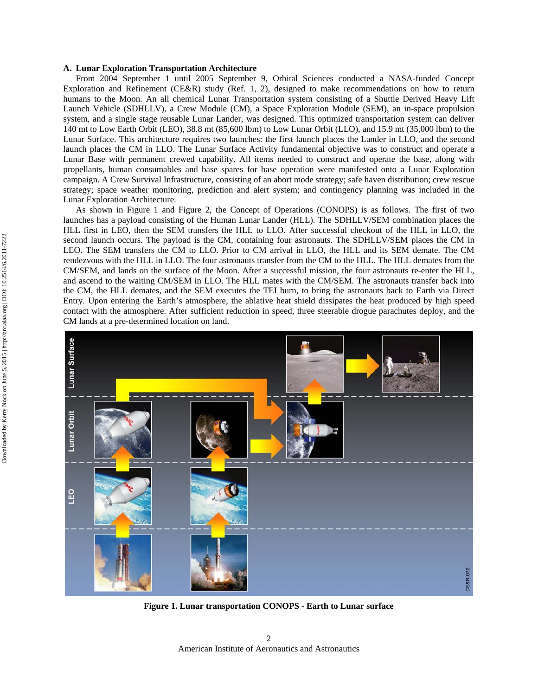### **A. Lunar Exploration Transportation Architecture**

From 2004 September 1 until 2005 September 9, Orbital Sciences conducted a NASA-funded Concept Exploration and Refinement (CE&R) study (Ref. 1, 2), designed to make recommendations on how to return humans to the Moon. An all chemical Lunar Transportation system consisting of a Shuttle Derived Heavy Lift Launch Vehicle (SDHLLV), a Crew Module (CM), a Space Exploration Module (SEM), an in-space propulsion system, and a single stage reusable Lunar Lander, was designed. This optimized transportation system can deliver 140 mt to Low Earth Orbit (LEO), 38.8 mt (85,600 lbm) to Low Lunar Orbit (LLO), and 15.9 mt (35,000 lbm) to the Lunar Surface. This architecture requires two launches: the first launch places the Lander in LLO, and the second launch places the CM in LLO. The Lunar Surface Activity fundamental objective was to construct and operate a Lunar Base with permanent crewed capability. All items needed to construct and operate the base, along with propellants, human consumables and base spares for base operation were manifested onto a Lunar Exploration campaign. A Crew Survival Infrastructure, consisting of an abort mode strategy; safe haven distribution; crew rescue strategy; space weather monitoring, prediction and alert system; and contingency planning was included in the Lunar Exploration Architecture.

As shown in Figure 1 and Figure 2, the Concept of Operations (CONOPS) is as follows. The first of two launches has a payload consisting of the Human Lunar Lander (HLL). The SDHLLV/SEM combination places the HLL first in LEO, then the SEM transfers the HLL to LLO. After successful checkout of the HLL in LLO, the second launch occurs. The payload is the CM, containing four astronauts. The SDHLLV/SEM places the CM in LEO. The SEM transfers the CM to LLO. Prior to CM arrival in LLO, the HLL and its SEM demate. The CM rendezvous with the HLL in LLO. The four astronauts transfer from the CM to the HLL. The HLL demates from the CM/SEM, and lands on the surface of the Moon. After a successful mission, the four astronauts re-enter the HLL, and ascend to the waiting CM/SEM in LLO. The HLL mates with the CM/SEM. The astronauts transfer back into the CM, the HLL demates, and the SEM executes the TEI burn, to bring the astronauts back to Earth via Direct Entry. Upon entering the Earth's atmosphere, the ablative heat shield dissipates the heat produced by high speed contact with the atmosphere. After sufficient reduction in speed, three steerable drogue parachutes deploy, and the CM lands at a pre-determined location on land.



**Figure 1. Lunar transportation CONOPS - Earth to Lunar surface** 

American Institute of Aeronautics and Astronautics 2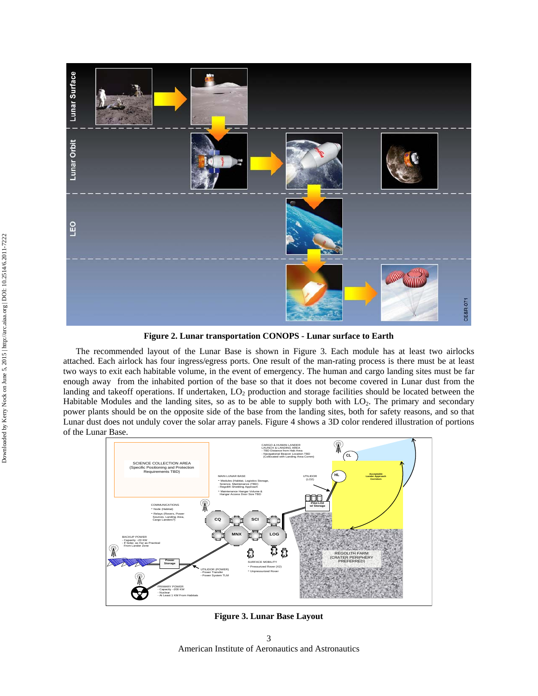

**Figure 2. Lunar transportation CONOPS - Lunar surface to Earth** 

The recommended layout of the Lunar Base is shown in Figure 3. Each module has at least two airlocks attached. Each airlock has four ingress/egress ports. One result of the man-rating process is there must be at least two ways to exit each habitable volume, in the event of emergency. The human and cargo landing sites must be far enough away from the inhabited portion of the base so that it does not become covered in Lunar dust from the landing and takeoff operations. If undertaken,  $LO_2$  production and storage facilities should be located between the Habitable Modules and the landing sites, so as to be able to supply both with  $LO<sub>2</sub>$ . The primary and secondary power plants should be on the opposite side of the base from the landing sites, both for safety reasons, and so that Lunar dust does not unduly cover the solar array panels. Figure 4 shows a 3D color rendered illustration of portions of the Lunar Base.



**Figure 3. Lunar Base Layout** 

American Institute of Aeronautics and Astronautics 3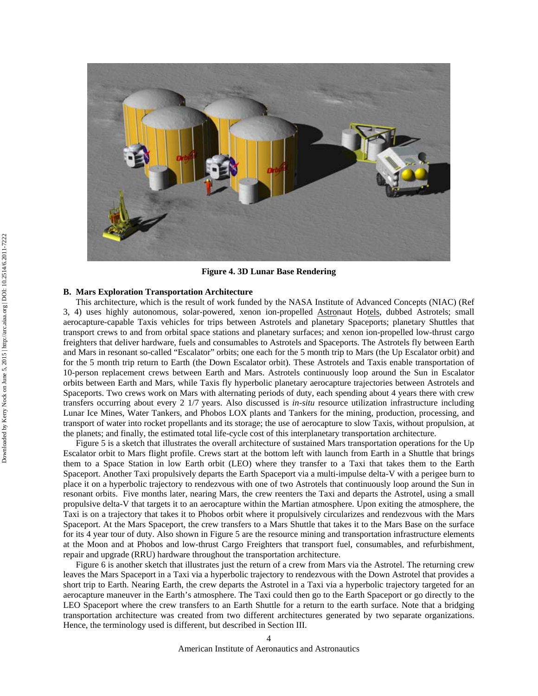

**Figure 4. 3D Lunar Base Rendering** 

### **B. Mars Exploration Transportation Architecture**

This architecture, which is the result of work funded by the NASA Institute of Advanced Concepts (NIAC) (Ref 3, 4) uses highly autonomous, solar-powered, xenon ion-propelled Astronaut Hotels, dubbed Astrotels; small aerocapture-capable Taxis vehicles for trips between Astrotels and planetary Spaceports; planetary Shuttles that transport crews to and from orbital space stations and planetary surfaces; and xenon ion-propelled low-thrust cargo freighters that deliver hardware, fuels and consumables to Astrotels and Spaceports. The Astrotels fly between Earth and Mars in resonant so-called "Escalator" orbits; one each for the 5 month trip to Mars (the Up Escalator orbit) and for the 5 month trip return to Earth (the Down Escalator orbit). These Astrotels and Taxis enable transportation of 10-person replacement crews between Earth and Mars. Astrotels continuously loop around the Sun in Escalator orbits between Earth and Mars, while Taxis fly hyperbolic planetary aerocapture trajectories between Astrotels and Spaceports. Two crews work on Mars with alternating periods of duty, each spending about 4 years there with crew transfers occurring about every 2 1/7 years. Also discussed is *in-situ* resource utilization infrastructure including Lunar Ice Mines, Water Tankers, and Phobos LOX plants and Tankers for the mining, production, processing, and transport of water into rocket propellants and its storage; the use of aerocapture to slow Taxis, without propulsion, at the planets; and finally, the estimated total life-cycle cost of this interplanetary transportation architecture.

Figure 5 is a sketch that illustrates the overall architecture of sustained Mars transportation operations for the Up Escalator orbit to Mars flight profile. Crews start at the bottom left with launch from Earth in a Shuttle that brings them to a Space Station in low Earth orbit (LEO) where they transfer to a Taxi that takes them to the Earth Spaceport. Another Taxi propulsively departs the Earth Spaceport via a multi-impulse delta-V with a perigee burn to place it on a hyperbolic trajectory to rendezvous with one of two Astrotels that continuously loop around the Sun in resonant orbits. Five months later, nearing Mars, the crew reenters the Taxi and departs the Astrotel, using a small propulsive delta-V that targets it to an aerocapture within the Martian atmosphere. Upon exiting the atmosphere, the Taxi is on a trajectory that takes it to Phobos orbit where it propulsively circularizes and rendezvous with the Mars Spaceport. At the Mars Spaceport, the crew transfers to a Mars Shuttle that takes it to the Mars Base on the surface for its 4 year tour of duty. Also shown in Figure 5 are the resource mining and transportation infrastructure elements at the Moon and at Phobos and low-thrust Cargo Freighters that transport fuel, consumables, and refurbishment, repair and upgrade (RRU) hardware throughout the transportation architecture.

Figure 6 is another sketch that illustrates just the return of a crew from Mars via the Astrotel. The returning crew leaves the Mars Spaceport in a Taxi via a hyperbolic trajectory to rendezvous with the Down Astrotel that provides a short trip to Earth. Nearing Earth, the crew departs the Astrotel in a Taxi via a hyperbolic trajectory targeted for an aerocapture maneuver in the Earth's atmosphere. The Taxi could then go to the Earth Spaceport or go directly to the LEO Spaceport where the crew transfers to an Earth Shuttle for a return to the earth surface. Note that a bridging transportation architecture was created from two different architectures generated by two separate organizations. Hence, the terminology used is different, but described in Section III.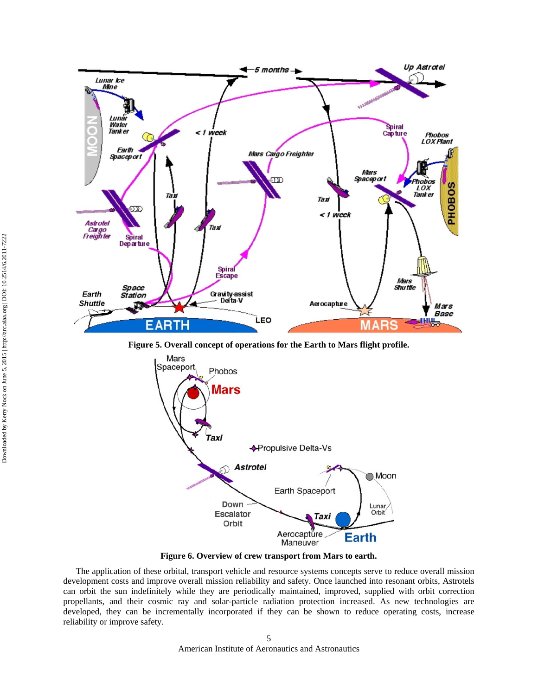

**Figure 5. Overall concept of operations for the Earth to Mars flight profile.** 



**Figure 6. Overview of crew transport from Mars to earth.** 

The application of these orbital, transport vehicle and resource systems concepts serve to reduce overall mission development costs and improve overall mission reliability and safety. Once launched into resonant orbits, Astrotels can orbit the sun indefinitely while they are periodically maintained, improved, supplied with orbit correction propellants, and their cosmic ray and solar-particle radiation protection increased. As new technologies are developed, they can be incrementally incorporated if they can be shown to reduce operating costs, increase reliability or improve safety.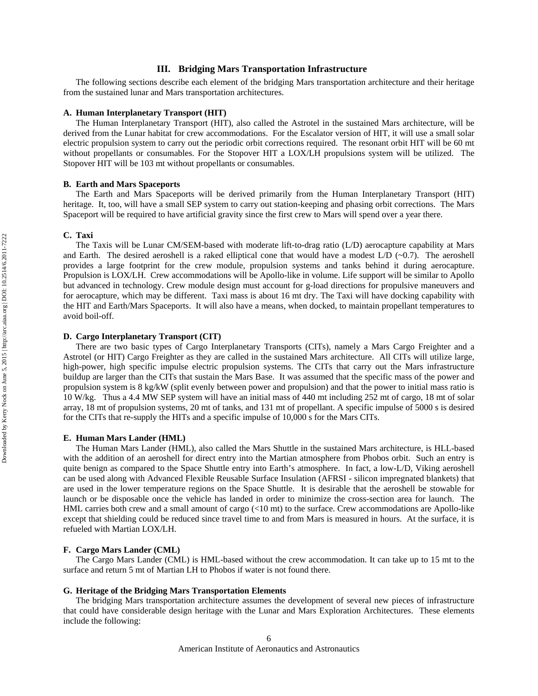# Downloaded by Kerry Nock on June 5, 2015 | http://arc.aiaa.org | DOI: 10.2514/6.2011-7222 Downloaded by Kerry Nock on June 5, 2015 | http://arc.aiaa.org | DOI: 10.2514/6.2011-7222

# **III. Bridging Mars Transportation Infrastructure**

The following sections describe each element of the bridging Mars transportation architecture and their heritage from the sustained lunar and Mars transportation architectures.

# **A. Human Interplanetary Transport (HIT)**

The Human Interplanetary Transport (HIT), also called the Astrotel in the sustained Mars architecture, will be derived from the Lunar habitat for crew accommodations. For the Escalator version of HIT, it will use a small solar electric propulsion system to carry out the periodic orbit corrections required. The resonant orbit HIT will be 60 mt without propellants or consumables. For the Stopover HIT a LOX/LH propulsions system will be utilized. The Stopover HIT will be 103 mt without propellants or consumables.

# **B. Earth and Mars Spaceports**

The Earth and Mars Spaceports will be derived primarily from the Human Interplanetary Transport (HIT) heritage. It, too, will have a small SEP system to carry out station-keeping and phasing orbit corrections. The Mars Spaceport will be required to have artificial gravity since the first crew to Mars will spend over a year there.

# **C. Taxi**

The Taxis will be Lunar CM/SEM-based with moderate lift-to-drag ratio (L/D) aerocapture capability at Mars and Earth. The desired aeroshell is a raked elliptical cone that would have a modest  $L/D$  ( $\sim$ 0.7). The aeroshell provides a large footprint for the crew module, propulsion systems and tanks behind it during aerocapture. Propulsion is LOX/LH. Crew accommodations will be Apollo-like in volume. Life support will be similar to Apollo but advanced in technology. Crew module design must account for g-load directions for propulsive maneuvers and for aerocapture, which may be different. Taxi mass is about 16 mt dry. The Taxi will have docking capability with the HIT and Earth/Mars Spaceports. It will also have a means, when docked, to maintain propellant temperatures to avoid boil-off.

### **D. Cargo Interplanetary Transport (CIT)**

There are two basic types of Cargo Interplanetary Transports (CITs), namely a Mars Cargo Freighter and a Astrotel (or HIT) Cargo Freighter as they are called in the sustained Mars architecture. All CITs will utilize large, high-power, high specific impulse electric propulsion systems. The CITs that carry out the Mars infrastructure buildup are larger than the CITs that sustain the Mars Base. It was assumed that the specific mass of the power and propulsion system is 8 kg/kW (split evenly between power and propulsion) and that the power to initial mass ratio is 10 W/kg. Thus a 4.4 MW SEP system will have an initial mass of 440 mt including 252 mt of cargo, 18 mt of solar array, 18 mt of propulsion systems, 20 mt of tanks, and 131 mt of propellant. A specific impulse of 5000 s is desired for the CITs that re-supply the HITs and a specific impulse of 10,000 s for the Mars CITs.

# **E. Human Mars Lander (HML)**

The Human Mars Lander (HML), also called the Mars Shuttle in the sustained Mars architecture, is HLL-based with the addition of an aeroshell for direct entry into the Martian atmosphere from Phobos orbit. Such an entry is quite benign as compared to the Space Shuttle entry into Earth's atmosphere. In fact, a low-L/D, Viking aeroshell can be used along with Advanced Flexible Reusable Surface Insulation (AFRSI - silicon impregnated blankets) that are used in the lower temperature regions on the Space Shuttle. It is desirable that the aeroshell be stowable for launch or be disposable once the vehicle has landed in order to minimize the cross-section area for launch. The HML carries both crew and a small amount of cargo (<10 mt) to the surface. Crew accommodations are Apollo-like except that shielding could be reduced since travel time to and from Mars is measured in hours. At the surface, it is refueled with Martian LOX/LH.

# **F. Cargo Mars Lander (CML)**

The Cargo Mars Lander (CML) is HML-based without the crew accommodation. It can take up to 15 mt to the surface and return 5 mt of Martian LH to Phobos if water is not found there.

### **G. Heritage of the Bridging Mars Transportation Elements**

The bridging Mars transportation architecture assumes the development of several new pieces of infrastructure that could have considerable design heritage with the Lunar and Mars Exploration Architectures. These elements include the following: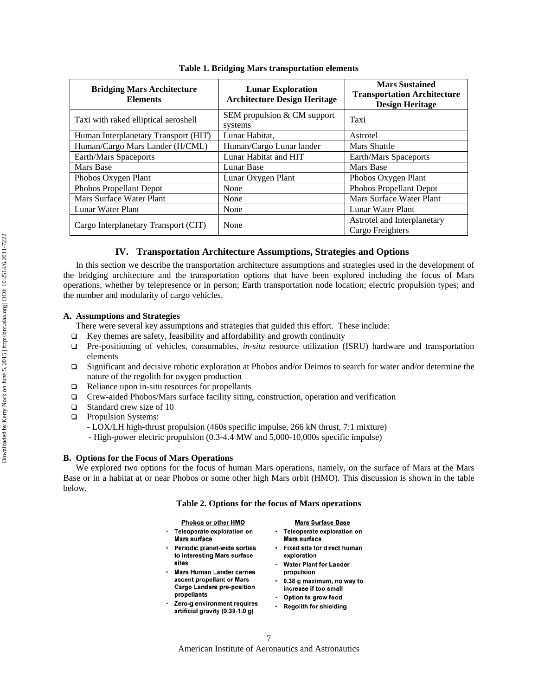| <b>Bridging Mars Architecture</b><br><b>Elements</b> | <b>Lunar Exploration</b><br><b>Architecture Design Heritage</b> | <b>Mars Sustained</b><br><b>Transportation Architecture</b><br><b>Design Heritage</b> |  |  |  |
|------------------------------------------------------|-----------------------------------------------------------------|---------------------------------------------------------------------------------------|--|--|--|
| Taxi with raked elliptical aeroshell                 | SEM propulsion & CM support<br>systems                          | Taxi                                                                                  |  |  |  |
| Human Interplanetary Transport (HIT)                 | Lunar Habitat,                                                  | Astrotel                                                                              |  |  |  |
| Human/Cargo Mars Lander (H/CML)                      | Human/Cargo Lunar lander                                        | Mars Shuttle                                                                          |  |  |  |
| Earth/Mars Spaceports                                | Lunar Habitat and HIT                                           | Earth/Mars Spaceports                                                                 |  |  |  |
| Mars Base                                            | Lunar Base                                                      | Mars Base                                                                             |  |  |  |
| Phobos Oxygen Plant                                  | Lunar Oxygen Plant                                              | Phobos Oxygen Plant                                                                   |  |  |  |
| Phobos Propellant Depot                              | None                                                            | Phobos Propellant Depot                                                               |  |  |  |
| Mars Surface Water Plant                             | None                                                            | Mars Surface Water Plant                                                              |  |  |  |
| Lunar Water Plant                                    | None                                                            | Lunar Water Plant                                                                     |  |  |  |
| Cargo Interplanetary Transport (CIT)                 | None                                                            | Astrotel and Interplanetary<br>Cargo Freighters                                       |  |  |  |

# **Table 1. Bridging Mars transportation elements**

# **IV. Transportation Architecture Assumptions, Strategies and Options**

In this section we describe the transportation architecture assumptions and strategies used in the development of the bridging architecture and the transportation options that have been explored including the focus of Mars operations, whether by telepresence or in person; Earth transportation node location; electric propulsion types; and the number and modularity of cargo vehicles.

# **A. Assumptions and Strategies**

There were several key assumptions and strategies that guided this effort. These include:

- $\Box$  Key themes are safety, feasibility and affordability and growth continuity
- Pre-positioning of vehicles, consumables, *in-situ* resource utilization (ISRU) hardware and transportation elements
- $\Box$  Significant and decisive robotic exploration at Phobos and/or Deimos to search for water and/or determine the nature of the regolith for oxygen production
- $\Box$  Reliance upon in-situ resources for propellants
- Crew-aided Phobos/Mars surface facility siting, construction, operation and verification
- $\Box$  Standard crew size of 10
- **Q** Propulsion Systems:
	- LOX/LH high-thrust propulsion (460s specific impulse, 266 kN thrust, 7:1 mixture)
	- High-power electric propulsion (0.3-4.4 MW and 5,000-10,000s specific impulse)

# **B. Options for the Focus of Mars Operations**

We explored two options for the focus of human Mars operations, namely, on the surface of Mars at the Mars Base or in a habitat at or near Phobos or some other high Mars orbit (HMO). This discussion is shown in the table below.

# **Table 2. Options for the focus of Mars operations**

Phobos or other HMO · Teleoperate exploration on

### **Mars Surface Base** · Teleoperate exploration on

- Mars surface Periodic planet-wide sorties to interesting Mars surface
- sites **Mars Human Lander carries** ascent propellant or Mars
- **Cargo Landers pre-position** propellants Zero-g environment requires
- artificial gravity (0.38-1.0 g)
- **Mars surface** Fixed site for direct human exploration
- **Water Plant for Lander** propulsion
- 0.38 g maximum, no way to increase if too small
- Option to grow food
- · Regolith for shielding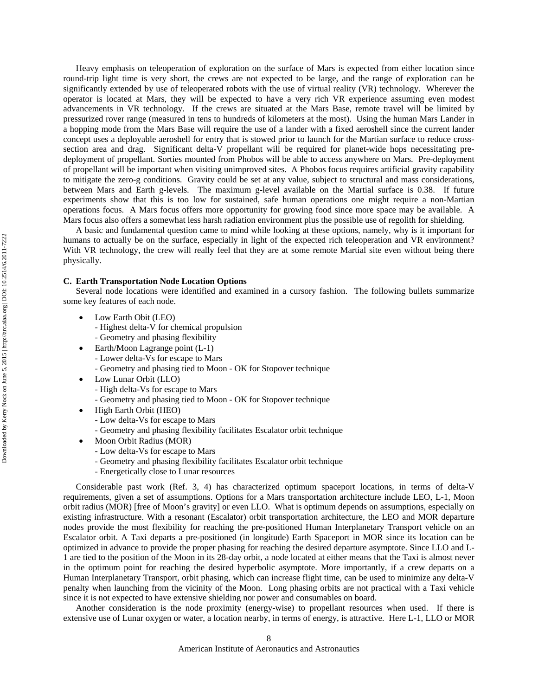Heavy emphasis on teleoperation of exploration on the surface of Mars is expected from either location since round-trip light time is very short, the crews are not expected to be large, and the range of exploration can be significantly extended by use of teleoperated robots with the use of virtual reality (VR) technology. Wherever the operator is located at Mars, they will be expected to have a very rich VR experience assuming even modest advancements in VR technology. If the crews are situated at the Mars Base, remote travel will be limited by pressurized rover range (measured in tens to hundreds of kilometers at the most). Using the human Mars Lander in a hopping mode from the Mars Base will require the use of a lander with a fixed aeroshell since the current lander concept uses a deployable aeroshell for entry that is stowed prior to launch for the Martian surface to reduce crosssection area and drag. Significant delta-V propellant will be required for planet-wide hops necessitating predeployment of propellant. Sorties mounted from Phobos will be able to access anywhere on Mars. Pre-deployment of propellant will be important when visiting unimproved sites. A Phobos focus requires artificial gravity capability to mitigate the zero-g conditions. Gravity could be set at any value, subject to structural and mass considerations, between Mars and Earth g-levels. The maximum g-level available on the Martial surface is 0.38. If future experiments show that this is too low for sustained, safe human operations one might require a non-Martian operations focus. A Mars focus offers more opportunity for growing food since more space may be available. A Mars focus also offers a somewhat less harsh radiation environment plus the possible use of regolith for shielding.

A basic and fundamental question came to mind while looking at these options, namely, why is it important for humans to actually be on the surface, especially in light of the expected rich teleoperation and VR environment? With VR technology, the crew will really feel that they are at some remote Martial site even without being there physically.

# **C. Earth Transportation Node Location Options**

Several node locations were identified and examined in a cursory fashion. The following bullets summarize some key features of each node.

- Low Earth Obit (LEO)
	- Highest delta-V for chemical propulsion
	- Geometry and phasing flexibility
- Earth/Moon Lagrange point (L-1)
	- Lower delta-Vs for escape to Mars
	- Geometry and phasing tied to Moon OK for Stopover technique
- Low Lunar Orbit (LLO)
	- High delta-Vs for escape to Mars
	- Geometry and phasing tied to Moon OK for Stopover technique
- High Earth Orbit (HEO)
	- Low delta-Vs for escape to Mars
	- Geometry and phasing flexibility facilitates Escalator orbit technique
- Moon Orbit Radius (MOR)
	- Low delta-Vs for escape to Mars
	- Geometry and phasing flexibility facilitates Escalator orbit technique
	- Energetically close to Lunar resources

Considerable past work (Ref. 3, 4) has characterized optimum spaceport locations, in terms of delta-V requirements, given a set of assumptions. Options for a Mars transportation architecture include LEO, L-1, Moon orbit radius (MOR) [free of Moon's gravity] or even LLO. What is optimum depends on assumptions, especially on existing infrastructure. With a resonant (Escalator) orbit transportation architecture, the LEO and MOR departure nodes provide the most flexibility for reaching the pre-positioned Human Interplanetary Transport vehicle on an Escalator orbit. A Taxi departs a pre-positioned (in longitude) Earth Spaceport in MOR since its location can be optimized in advance to provide the proper phasing for reaching the desired departure asymptote. Since LLO and L-1 are tied to the position of the Moon in its 28-day orbit, a node located at either means that the Taxi is almost never in the optimum point for reaching the desired hyperbolic asymptote. More importantly, if a crew departs on a Human Interplanetary Transport, orbit phasing, which can increase flight time, can be used to minimize any delta-V penalty when launching from the vicinity of the Moon. Long phasing orbits are not practical with a Taxi vehicle since it is not expected to have extensive shielding nor power and consumables on board.

Another consideration is the node proximity (energy-wise) to propellant resources when used. If there is extensive use of Lunar oxygen or water, a location nearby, in terms of energy, is attractive. Here L-1, LLO or MOR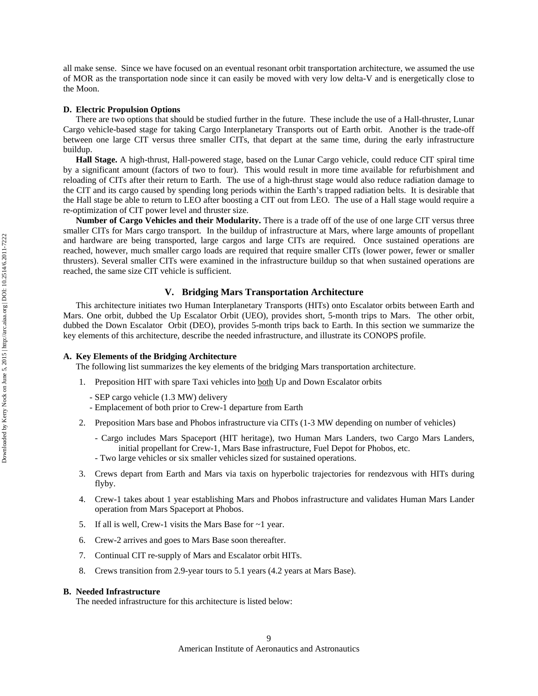all make sense. Since we have focused on an eventual resonant orbit transportation architecture, we assumed the use of MOR as the transportation node since it can easily be moved with very low delta-V and is energetically close to the Moon.

### **D. Electric Propulsion Options**

There are two options that should be studied further in the future. These include the use of a Hall-thruster, Lunar Cargo vehicle-based stage for taking Cargo Interplanetary Transports out of Earth orbit. Another is the trade-off between one large CIT versus three smaller CITs, that depart at the same time, during the early infrastructure buildup.

**Hall Stage.** A high-thrust, Hall-powered stage, based on the Lunar Cargo vehicle, could reduce CIT spiral time by a significant amount (factors of two to four). This would result in more time available for refurbishment and reloading of CITs after their return to Earth. The use of a high-thrust stage would also reduce radiation damage to the CIT and its cargo caused by spending long periods within the Earth's trapped radiation belts. It is desirable that the Hall stage be able to return to LEO after boosting a CIT out from LEO. The use of a Hall stage would require a re-optimization of CIT power level and thruster size.

**Number of Cargo Vehicles and their Modularity.** There is a trade off of the use of one large CIT versus three smaller CITs for Mars cargo transport. In the buildup of infrastructure at Mars, where large amounts of propellant and hardware are being transported, large cargos and large CITs are required. Once sustained operations are reached, however, much smaller cargo loads are required that require smaller CITs (lower power, fewer or smaller thrusters). Several smaller CITs were examined in the infrastructure buildup so that when sustained operations are reached, the same size CIT vehicle is sufficient.

# **V. Bridging Mars Transportation Architecture**

This architecture initiates two Human Interplanetary Transports (HITs) onto Escalator orbits between Earth and Mars. One orbit, dubbed the Up Escalator Orbit (UEO), provides short, 5-month trips to Mars. The other orbit, dubbed the Down Escalator Orbit (DEO), provides 5-month trips back to Earth. In this section we summarize the key elements of this architecture, describe the needed infrastructure, and illustrate its CONOPS profile.

# **A. Key Elements of the Bridging Architecture**

The following list summarizes the key elements of the bridging Mars transportation architecture.

- 1. Preposition HIT with spare Taxi vehicles into both Up and Down Escalator orbits
	- SEP cargo vehicle (1.3 MW) delivery
	- Emplacement of both prior to Crew-1 departure from Earth
- 2. Preposition Mars base and Phobos infrastructure via CITs (1-3 MW depending on number of vehicles)
	- Cargo includes Mars Spaceport (HIT heritage), two Human Mars Landers, two Cargo Mars Landers, initial propellant for Crew-1, Mars Base infrastructure, Fuel Depot for Phobos, etc.
	- Two large vehicles or six smaller vehicles sized for sustained operations.
- 3. Crews depart from Earth and Mars via taxis on hyperbolic trajectories for rendezvous with HITs during flyby.
- 4. Crew-1 takes about 1 year establishing Mars and Phobos infrastructure and validates Human Mars Lander operation from Mars Spaceport at Phobos.
- 5. If all is well, Crew-1 visits the Mars Base for ~1 year.
- 6. Crew-2 arrives and goes to Mars Base soon thereafter.
- 7. Continual CIT re-supply of Mars and Escalator orbit HITs.
- 8. Crews transition from 2.9-year tours to 5.1 years (4.2 years at Mars Base).

### **B. Needed Infrastructure**

The needed infrastructure for this architecture is listed below: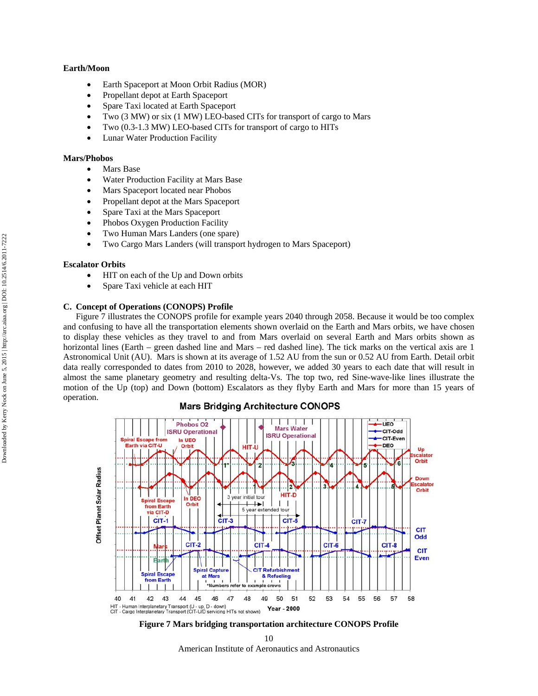# **Earth/Moon**

- Earth Spaceport at Moon Orbit Radius (MOR)
- Propellant depot at Earth Spaceport
- Spare Taxi located at Earth Spaceport
- Two (3 MW) or six (1 MW) LEO-based CITs for transport of cargo to Mars
- Two (0.3-1.3 MW) LEO-based CITs for transport of cargo to HITs
- Lunar Water Production Facility

# **Mars/Phobos**

- Mars Base
- Water Production Facility at Mars Base
- Mars Spaceport located near Phobos
- Propellant depot at the Mars Spaceport
- Spare Taxi at the Mars Spaceport
- Phobos Oxygen Production Facility
- Two Human Mars Landers (one spare)
- Two Cargo Mars Landers (will transport hydrogen to Mars Spaceport)

# **Escalator Orbits**

- HIT on each of the Up and Down orbits
- Spare Taxi vehicle at each HIT

# **C. Concept of Operations (CONOPS) Profile**

Figure 7 illustrates the CONOPS profile for example years 2040 through 2058. Because it would be too complex and confusing to have all the transportation elements shown overlaid on the Earth and Mars orbits, we have chosen to display these vehicles as they travel to and from Mars overlaid on several Earth and Mars orbits shown as horizontal lines (Earth – green dashed line and Mars – red dashed line). The tick marks on the vertical axis are 1 Astronomical Unit (AU). Mars is shown at its average of 1.52 AU from the sun or 0.52 AU from Earth. Detail orbit data really corresponded to dates from 2010 to 2028, however, we added 30 years to each date that will result in almost the same planetary geometry and resulting delta-Vs. The top two, red Sine-wave-like lines illustrate the motion of the Up (top) and Down (bottom) Escalators as they flyby Earth and Mars for more than 15 years of operation.

# **Mars Bridging Architecture CONOPS**





American Institute of Aeronautics and Astronautics 10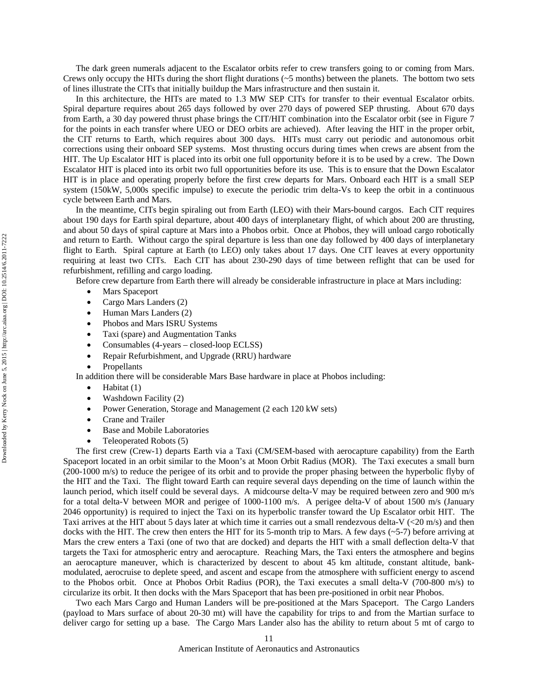The dark green numerals adjacent to the Escalator orbits refer to crew transfers going to or coming from Mars. Crews only occupy the HITs during the short flight durations (~5 months) between the planets. The bottom two sets of lines illustrate the CITs that initially buildup the Mars infrastructure and then sustain it.

In this architecture, the HITs are mated to 1.3 MW SEP CITs for transfer to their eventual Escalator orbits. Spiral departure requires about 265 days followed by over 270 days of powered SEP thrusting. About 670 days from Earth, a 30 day powered thrust phase brings the CIT/HIT combination into the Escalator orbit (see in Figure 7 for the points in each transfer where UEO or DEO orbits are achieved). After leaving the HIT in the proper orbit, the CIT returns to Earth, which requires about 300 days. HITs must carry out periodic and autonomous orbit corrections using their onboard SEP systems. Most thrusting occurs during times when crews are absent from the HIT. The Up Escalator HIT is placed into its orbit one full opportunity before it is to be used by a crew. The Down Escalator HIT is placed into its orbit two full opportunities before its use. This is to ensure that the Down Escalator HIT is in place and operating properly before the first crew departs for Mars. Onboard each HIT is a small SEP system (150kW, 5,000s specific impulse) to execute the periodic trim delta-Vs to keep the orbit in a continuous cycle between Earth and Mars.

In the meantime, CITs begin spiraling out from Earth (LEO) with their Mars-bound cargos. Each CIT requires about 190 days for Earth spiral departure, about 400 days of interplanetary flight, of which about 200 are thrusting, and about 50 days of spiral capture at Mars into a Phobos orbit. Once at Phobos, they will unload cargo robotically and return to Earth. Without cargo the spiral departure is less than one day followed by 400 days of interplanetary flight to Earth. Spiral capture at Earth (to LEO) only takes about 17 days. One CIT leaves at every opportunity requiring at least two CITs. Each CIT has about 230-290 days of time between reflight that can be used for refurbishment, refilling and cargo loading.

Before crew departure from Earth there will already be considerable infrastructure in place at Mars including:

- Mars Spaceport
- Cargo Mars Landers (2)
- Human Mars Landers (2)
- Phobos and Mars ISRU Systems
- Taxi (spare) and Augmentation Tanks
- Consumables (4-years closed-loop ECLSS)
- Repair Refurbishment, and Upgrade (RRU) hardware
- Propellants

In addition there will be considerable Mars Base hardware in place at Phobos including:

- Habitat (1)
- Washdown Facility (2)
- Power Generation, Storage and Management (2 each 120 kW sets)
- Crane and Trailer
- Base and Mobile Laboratories
- Teleoperated Robots (5)

The first crew (Crew-1) departs Earth via a Taxi (CM/SEM-based with aerocapture capability) from the Earth Spaceport located in an orbit similar to the Moon's at Moon Orbit Radius (MOR). The Taxi executes a small burn (200-1000 m/s) to reduce the perigee of its orbit and to provide the proper phasing between the hyperbolic flyby of the HIT and the Taxi. The flight toward Earth can require several days depending on the time of launch within the launch period, which itself could be several days. A midcourse delta-V may be required between zero and 900 m/s for a total delta-V between MOR and perigee of 1000-1100 m/s. A perigee delta-V of about 1500 m/s (January 2046 opportunity) is required to inject the Taxi on its hyperbolic transfer toward the Up Escalator orbit HIT. The Taxi arrives at the HIT about 5 days later at which time it carries out a small rendezvous delta-V (<20 m/s) and then docks with the HIT. The crew then enters the HIT for its 5-month trip to Mars. A few days (~5-7) before arriving at Mars the crew enters a Taxi (one of two that are docked) and departs the HIT with a small deflection delta-V that targets the Taxi for atmospheric entry and aerocapture. Reaching Mars, the Taxi enters the atmosphere and begins an aerocapture maneuver, which is characterized by descent to about 45 km altitude, constant altitude, bankmodulated, aerocruise to deplete speed, and ascent and escape from the atmosphere with sufficient energy to ascend to the Phobos orbit. Once at Phobos Orbit Radius (POR), the Taxi executes a small delta-V (700-800 m/s) to circularize its orbit. It then docks with the Mars Spaceport that has been pre-positioned in orbit near Phobos.

Two each Mars Cargo and Human Landers will be pre-positioned at the Mars Spaceport. The Cargo Landers (payload to Mars surface of about 20-30 mt) will have the capability for trips to and from the Martian surface to deliver cargo for setting up a base. The Cargo Mars Lander also has the ability to return about 5 mt of cargo to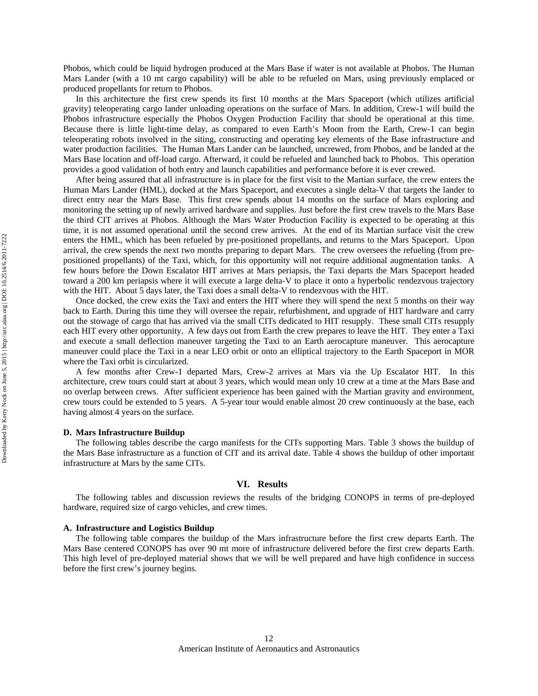Phobos, which could be liquid hydrogen produced at the Mars Base if water is not available at Phobos. The Human Mars Lander (with a 10 mt cargo capability) will be able to be refueled on Mars, using previously emplaced or produced propellants for return to Phobos.

In this architecture the first crew spends its first 10 months at the Mars Spaceport (which utilizes artificial gravity) teleoperating cargo lander unloading operations on the surface of Mars. In addition, Crew-1 will build the Phobos infrastructure especially the Phobos Oxygen Production Facility that should be operational at this time. Because there is little light-time delay, as compared to even Earth's Moon from the Earth, Crew-1 can begin teleoperating robots involved in the siting, constructing and operating key elements of the Base infrastructure and water production facilities. The Human Mars Lander can be launched, uncrewed, from Phobos, and be landed at the Mars Base location and off-load cargo. Afterward, it could be refueled and launched back to Phobos. This operation provides a good validation of both entry and launch capabilities and performance before it is ever crewed.

After being assured that all infrastructure is in place for the first visit to the Martian surface, the crew enters the Human Mars Lander (HML), docked at the Mars Spaceport, and executes a single delta-V that targets the lander to direct entry near the Mars Base. This first crew spends about 14 months on the surface of Mars exploring and monitoring the setting up of newly arrived hardware and supplies. Just before the first crew travels to the Mars Base the third CIT arrives at Phobos. Although the Mars Water Production Facility is expected to be operating at this time, it is not assumed operational until the second crew arrives. At the end of its Martian surface visit the crew enters the HML, which has been refueled by pre-positioned propellants, and returns to the Mars Spaceport. Upon arrival, the crew spends the next two months preparing to depart Mars. The crew oversees the refueling (from prepositioned propellants) of the Taxi, which, for this opportunity will not require additional augmentation tanks. A few hours before the Down Escalator HIT arrives at Mars periapsis, the Taxi departs the Mars Spaceport headed toward a 200 km periapsis where it will execute a large delta-V to place it onto a hyperbolic rendezvous trajectory with the HIT. About 5 days later, the Taxi does a small delta-V to rendezvous with the HIT.

Once docked, the crew exits the Taxi and enters the HIT where they will spend the next 5 months on their way back to Earth. During this time they will oversee the repair, refurbishment, and upgrade of HIT hardware and carry out the stowage of cargo that has arrived via the small CITs dedicated to HIT resupply. These small CITs resupply each HIT every other opportunity. A few days out from Earth the crew prepares to leave the HIT. They enter a Taxi and execute a small deflection maneuver targeting the Taxi to an Earth aerocapture maneuver. This aerocapture maneuver could place the Taxi in a near LEO orbit or onto an elliptical trajectory to the Earth Spaceport in MOR where the Taxi orbit is circularized.

A few months after Crew-1 departed Mars, Crew-2 arrives at Mars via the Up Escalator HIT. In this architecture, crew tours could start at about 3 years, which would mean only 10 crew at a time at the Mars Base and no overlap between crews. After sufficient experience has been gained with the Martian gravity and environment, crew tours could be extended to 5 years. A 5-year tour would enable almost 20 crew continuously at the base, each having almost 4 years on the surface.

### **D. Mars Infrastructure Buildup**

The following tables describe the cargo manifests for the CITs supporting Mars. Table 3 shows the buildup of the Mars Base infrastructure as a function of CIT and its arrival date. Table 4 shows the buildup of other important infrastructure at Mars by the same CITs.

### **VI. Results**

The following tables and discussion reviews the results of the bridging CONOPS in terms of pre-deployed hardware, required size of cargo vehicles, and crew times.

### **A. Infrastructure and Logistics Buildup**

The following table compares the buildup of the Mars infrastructure before the first crew departs Earth. The Mars Base centered CONOPS has over 90 mt more of infrastructure delivered before the first crew departs Earth. This high level of pre-deployed material shows that we will be well prepared and have high confidence in success before the first crew's journey begins.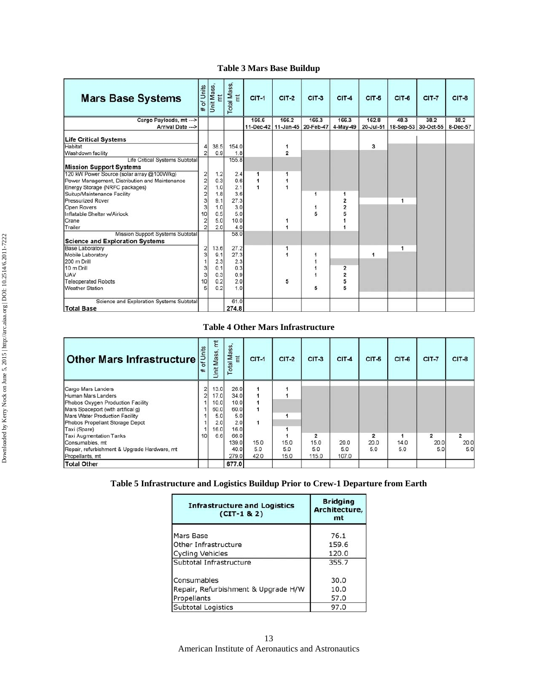# **Table 3 Mars Base Buildup**

| <b>Mars Base Systems</b>                                                                                                       | # of Units | Unit Mass,        | Total Mass,<br>mt  | $CIT-1$            | $CIT-2$                      | CIT-3 | $CIT-4$             | CIT-5              | CIT-6 | $CIT-T$                     | CIT-8            |
|--------------------------------------------------------------------------------------------------------------------------------|------------|-------------------|--------------------|--------------------|------------------------------|-------|---------------------|--------------------|-------|-----------------------------|------------------|
| Cargo Payloads, mt---><br>Arrival Date --- >                                                                                   |            |                   |                    | 166.6<br>11-Dec-42 | 166.2<br>11-Jan-45 20-Feb-47 | 166.3 | 166.3<br>4-May-49   | 162.8<br>20-Jul-51 | 48.3  | 38.2<br>18-Sep-53 30-Oct-55 | 38.2<br>8-Dec-57 |
| <b>Life Critical Systems</b><br>Habitat                                                                                        |            | 38.5              | 154.0              |                    | 1                            |       |                     | 3                  |       |                             |                  |
| Washdown facility                                                                                                              |            | 0.9               | 1.8                |                    | $\overline{2}$               |       |                     |                    |       |                             |                  |
| Life Critical Systems Subtotal<br><b>Mission Support Systems</b>                                                               |            |                   | 155.8              |                    |                              |       |                     |                    |       |                             |                  |
| 120 kW Power Source (solar array @100W/kg)<br>Power Management, Distribution and Maintenance<br>Energy Storage (NRFC packages) | 2<br>2     | 1.2<br>0.3<br>1.0 | 2.4<br>0.6<br>2.1  |                    | 1                            |       |                     |                    |       |                             |                  |
| Suitup/Maintenance Facility<br><b>Pressurized Rover</b>                                                                        | 2<br>3     | 1.8<br>9.1        | 3.6<br>27.3        |                    |                              | 1     | 1<br>$\overline{2}$ |                    | 1     |                             |                  |
| Open Rovers<br>Inflatable Shelter w/Airlock<br>Crane                                                                           | 3<br>10    | 1.0<br>0.5<br>5.0 | 3.0<br>5.0<br>10.0 |                    | 1                            | 5     | $\overline{2}$      |                    |       |                             |                  |
| Trailer                                                                                                                        | っ          | 2.0               | 4.0                |                    | 1                            |       |                     |                    |       |                             |                  |
| Mission Support Systems Subtotal<br><b>Science and Exploration Systems</b>                                                     |            |                   | 58.0               |                    |                              |       |                     |                    |       |                             |                  |
| <b>Base Laboratory</b><br>Mobile Laboratory                                                                                    | 2<br>3     | 13.6<br>9.1       | 27.2<br>27.3       |                    | 1<br>1                       |       |                     | 1                  | 1     |                             |                  |
| 200 m Drill<br>10 m Drill<br>UAV                                                                                               |            | 2.3<br>0.1<br>0.3 | 2.3<br>0.3<br>0.9  |                    |                              |       | 2<br>$\overline{2}$ |                    |       |                             |                  |
| <b>Teleoperated Robots</b><br><b>Weather Station</b>                                                                           | 10         | 0.2<br>0.2        | 2.0<br>1.0         |                    | 5                            | 5     | 5                   |                    |       |                             |                  |
| Science and Exploration Systems Subtotal<br><b>Total Base</b>                                                                  |            |                   | 61.0<br>274.8      |                    |                              |       |                     |                    |       |                             |                  |

# **Table 4 Other Mars Infrastructure**

| Other Mars Infrastructure                    | #   | Ĕ<br><b>Jnit Mass</b> | Total Mass,<br>mt | <b>CIT-1</b> | $CIT-2$ | CIT-3          | $CIT-4$ | CIT-5          | CIT-6 | <b>CIT-7</b>   | CIT-8          |
|----------------------------------------------|-----|-----------------------|-------------------|--------------|---------|----------------|---------|----------------|-------|----------------|----------------|
| Cargo Mars Landers                           |     | 13.0                  | 26.0              |              |         |                |         |                |       |                |                |
| Human Mars Landers                           |     | 17.0                  | 34.0              |              |         |                |         |                |       |                |                |
| Phobos Oxygen Production Facility            |     | 10.0                  | 10.0              |              |         |                |         |                |       |                |                |
| Mars Spaceport (with artifical g)            |     | 60.0                  | 60.0              |              |         |                |         |                |       |                |                |
| Mars Water Production Facility               |     | 5.0                   | 5.0               |              |         |                |         |                |       |                |                |
| Phobos Propellant Storage Depot              |     | 2.0                   | 2.0               |              |         |                |         |                |       |                |                |
| Taxi (Spare)                                 |     | 16.0                  | 16.0              |              |         |                |         |                |       |                |                |
| <b>Taxi Augmentation Tanks</b>               | 10I | 6.6                   | 66.0              |              |         | $\overline{2}$ |         | $\overline{2}$ |       | $\overline{2}$ | $\overline{2}$ |
| Consumables, mt                              |     |                       | 139.0             | 15.0         | 15.0    | 15.0           | 20.0    | 20.0           | 14.0  | 20.0           | 20.0           |
| Repair, refurbishment & Upgrade Hardware, mt |     |                       | 40.0              | 5.0          | 5.0     | 5.0            | 5.0     | 5.0            | 5.0   | 5.0            | 5.0            |
| Propellants, mt                              |     |                       | 279.0             | 42.0         | 15.0    | 115.0          | 107.0   |                |       |                |                |
| <b>Total Other</b>                           |     |                       | 677.0             |              |         |                |         |                |       |                |                |

# **Table 5 Infrastructure and Logistics Buildup Prior to Crew-1 Departure from Earth**

| <b>Infrastructure and Logistics</b><br>$(CIT-1 & 2)$ | <b>Bridging</b><br>Architecture,<br>mt |  |  |  |
|------------------------------------------------------|----------------------------------------|--|--|--|
| Mars Base                                            | 76.1                                   |  |  |  |
| Other Infrastructure                                 | 159.6                                  |  |  |  |
| <b>Cycling Vehicles</b>                              | 120.0                                  |  |  |  |
| Subtotal Infrastructure                              | 355.7                                  |  |  |  |
| Consumables                                          | 30.0                                   |  |  |  |
| Repair, Refurbishment & Upgrade H/W                  | 10.0                                   |  |  |  |
| Propellants                                          | 57.0                                   |  |  |  |
| Subtotal Logistics                                   | 97.0                                   |  |  |  |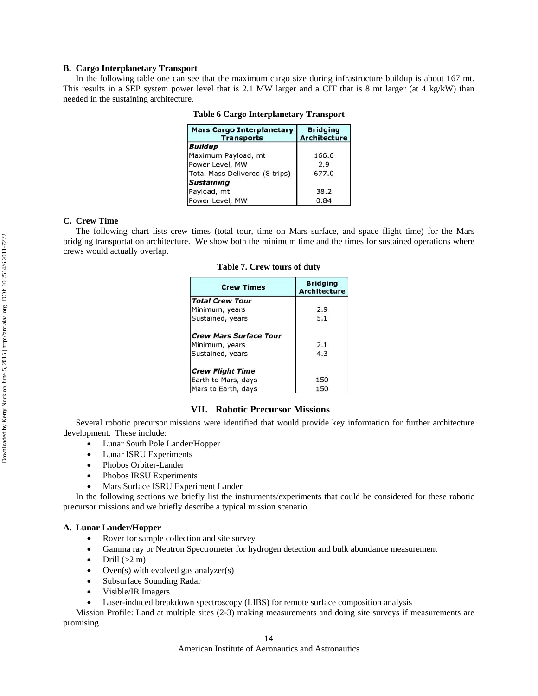# **B. Cargo Interplanetary Transport**

In the following table one can see that the maximum cargo size during infrastructure buildup is about 167 mt. This results in a SEP system power level that is 2.1 MW larger and a CIT that is 8 mt larger (at 4 kg/kW) than needed in the sustaining architecture.

| <b>Mars Cargo Interplanetary</b><br><b>Transports</b> | <b>Bridging</b><br><b>Architecture</b> |  |  |  |
|-------------------------------------------------------|----------------------------------------|--|--|--|
| <b>Buildup</b>                                        |                                        |  |  |  |
| Maximum Payload, mt                                   | 166.6                                  |  |  |  |
| Power Level, MW                                       | 2.9                                    |  |  |  |
| Total Mass Delivered (8 trips)                        | 677.0                                  |  |  |  |
| <b>Sustaining</b>                                     |                                        |  |  |  |
| Payload, mt                                           | 38.2                                   |  |  |  |
| Power Level, MW                                       | 0.84                                   |  |  |  |

**Table 6 Cargo Interplanetary Transport** 

# **C. Crew Time**

The following chart lists crew times (total tour, time on Mars surface, and space flight time) for the Mars bridging transportation architecture. We show both the minimum time and the times for sustained operations where crews would actually overlap.

| <b>Crew Times</b>             | <b>Bridging</b><br><b>Architecture</b> |  |  |  |  |
|-------------------------------|----------------------------------------|--|--|--|--|
| <b>Total Crew Tour</b>        |                                        |  |  |  |  |
| Minimum, years                | 2.9                                    |  |  |  |  |
| Sustained, years              | 5.1                                    |  |  |  |  |
| <b>Crew Mars Surface Tour</b> |                                        |  |  |  |  |
| Minimum, years                | 2.1                                    |  |  |  |  |
| Sustained, years              | 4.3                                    |  |  |  |  |
| <b>Crew Flight Time</b>       |                                        |  |  |  |  |
| Earth to Mars, days           | 150                                    |  |  |  |  |
| Mars to Earth, days           | 150                                    |  |  |  |  |

**Table 7. Crew tours of duty** 

# **VII. Robotic Precursor Missions**

Several robotic precursor missions were identified that would provide key information for further architecture development. These include:

- Lunar South Pole Lander/Hopper
- Lunar ISRU Experiments
- Phobos Orbiter-Lander
- Phobos IRSU Experiments
- Mars Surface ISRU Experiment Lander

In the following sections we briefly list the instruments/experiments that could be considered for these robotic precursor missions and we briefly describe a typical mission scenario.

# **A. Lunar Lander/Hopper**

- Rover for sample collection and site survey
- Gamma ray or Neutron Spectrometer for hydrogen detection and bulk abundance measurement
- Drill  $(>2 m)$
- Oven(s) with evolved gas analyzer(s)
- Subsurface Sounding Radar
- Visible/IR Imagers
- Laser-induced breakdown spectroscopy (LIBS) for remote surface composition analysis

Mission Profile: Land at multiple sites (2-3) making measurements and doing site surveys if measurements are promising.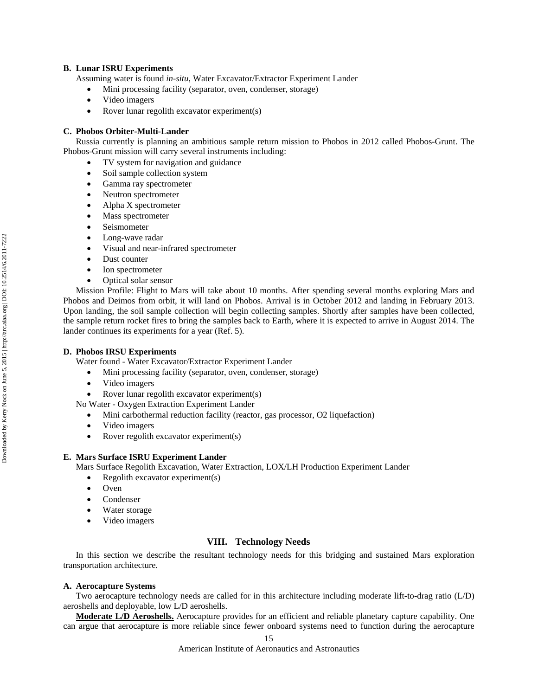# **B. Lunar ISRU Experiments**

Assuming water is found *in-situ*, Water Excavator/Extractor Experiment Lander

- Mini processing facility (separator, oven, condenser, storage)
- Video imagers
- Rover lunar regolith excavator experiment(s)

# **C. Phobos Orbiter-Multi-Lander**

Russia currently is planning an ambitious sample return mission to Phobos in 2012 called Phobos-Grunt. The Phobos-Grunt mission will carry several instruments including:

- TV system for navigation and guidance
- Soil sample collection system
- Gamma ray spectrometer
- Neutron spectrometer
- Alpha X spectrometer
- Mass spectrometer
- Seismometer
- Long-wave radar
- Visual and near-infrared spectrometer
- Dust counter
- Ion spectrometer
- Optical solar sensor

Mission Profile: Flight to Mars will take about 10 months. After spending several months exploring Mars and Phobos and Deimos from orbit, it will land on Phobos. Arrival is in October 2012 and landing in February 2013. Upon landing, the soil sample collection will begin collecting samples. Shortly after samples have been collected, the sample return rocket fires to bring the samples back to Earth, where it is expected to arrive in August 2014. The lander continues its experiments for a year (Ref. 5).

# **D. Phobos IRSU Experiments**

Water found - Water Excavator/Extractor Experiment Lander

- Mini processing facility (separator, oven, condenser, storage)
- Video imagers
- Rover lunar regolith excavator experiment(s)
- No Water Oxygen Extraction Experiment Lander
	- Mini carbothermal reduction facility (reactor, gas processor, O2 liquefaction)
	- Video imagers
	- Rover regolith excavator experiment(s)

# **E. Mars Surface ISRU Experiment Lander**

Mars Surface Regolith Excavation, Water Extraction, LOX/LH Production Experiment Lander

- Regolith excavator experiment(s)
- Oven
- Condenser
- Water storage
- Video imagers

# **VIII. Technology Needs**

In this section we describe the resultant technology needs for this bridging and sustained Mars exploration transportation architecture.

# **A. Aerocapture Systems**

Two aerocapture technology needs are called for in this architecture including moderate lift-to-drag ratio (L/D) aeroshells and deployable, low L/D aeroshells.

**Moderate L/D Aeroshells.** Aerocapture provides for an efficient and reliable planetary capture capability. One can argue that aerocapture is more reliable since fewer onboard systems need to function during the aerocapture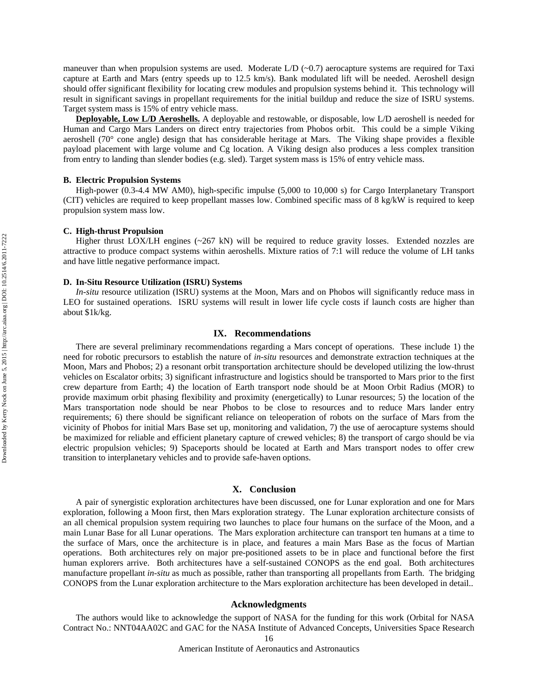maneuver than when propulsion systems are used. Moderate  $L/D$  ( $\sim 0.7$ ) aerocapture systems are required for Taxi capture at Earth and Mars (entry speeds up to 12.5 km/s). Bank modulated lift will be needed. Aeroshell design should offer significant flexibility for locating crew modules and propulsion systems behind it. This technology will result in significant savings in propellant requirements for the initial buildup and reduce the size of ISRU systems. Target system mass is 15% of entry vehicle mass.

**Deployable, Low L/D Aeroshells.** A deployable and restowable, or disposable, low L/D aeroshell is needed for Human and Cargo Mars Landers on direct entry trajectories from Phobos orbit. This could be a simple Viking aeroshell (70° cone angle) design that has considerable heritage at Mars. The Viking shape provides a flexible payload placement with large volume and Cg location. A Viking design also produces a less complex transition from entry to landing than slender bodies (e.g. sled). Target system mass is 15% of entry vehicle mass.

### **B. Electric Propulsion Systems**

High-power (0.3-4.4 MW AM0), high-specific impulse (5,000 to 10,000 s) for Cargo Interplanetary Transport (CIT) vehicles are required to keep propellant masses low. Combined specific mass of 8 kg/kW is required to keep propulsion system mass low.

# **C. High-thrust Propulsion**

Higher thrust LOX/LH engines (~267 kN) will be required to reduce gravity losses. Extended nozzles are attractive to produce compact systems within aeroshells. Mixture ratios of 7:1 will reduce the volume of LH tanks and have little negative performance impact.

### **D. In-Situ Resource Utilization (ISRU) Systems**

*In-situ* resource utilization (ISRU) systems at the Moon, Mars and on Phobos will significantly reduce mass in LEO for sustained operations. ISRU systems will result in lower life cycle costs if launch costs are higher than about \$1k/kg.

# **IX. Recommendations**

There are several preliminary recommendations regarding a Mars concept of operations. These include 1) the need for robotic precursors to establish the nature of *in-situ* resources and demonstrate extraction techniques at the Moon, Mars and Phobos; 2) a resonant orbit transportation architecture should be developed utilizing the low-thrust vehicles on Escalator orbits; 3) significant infrastructure and logistics should be transported to Mars prior to the first crew departure from Earth; 4) the location of Earth transport node should be at Moon Orbit Radius (MOR) to provide maximum orbit phasing flexibility and proximity (energetically) to Lunar resources; 5) the location of the Mars transportation node should be near Phobos to be close to resources and to reduce Mars lander entry requirements; 6) there should be significant reliance on teleoperation of robots on the surface of Mars from the vicinity of Phobos for initial Mars Base set up, monitoring and validation, 7) the use of aerocapture systems should be maximized for reliable and efficient planetary capture of crewed vehicles; 8) the transport of cargo should be via electric propulsion vehicles; 9) Spaceports should be located at Earth and Mars transport nodes to offer crew transition to interplanetary vehicles and to provide safe-haven options.

### **X. Conclusion**

A pair of synergistic exploration architectures have been discussed, one for Lunar exploration and one for Mars exploration, following a Moon first, then Mars exploration strategy. The Lunar exploration architecture consists of an all chemical propulsion system requiring two launches to place four humans on the surface of the Moon, and a main Lunar Base for all Lunar operations. The Mars exploration architecture can transport ten humans at a time to the surface of Mars, once the architecture is in place, and features a main Mars Base as the focus of Martian operations. Both architectures rely on major pre-positioned assets to be in place and functional before the first human explorers arrive. Both architectures have a self-sustained CONOPS as the end goal. Both architectures manufacture propellant *in-situ* as much as possible, rather than transporting all propellants from Earth. The bridging CONOPS from the Lunar exploration architecture to the Mars exploration architecture has been developed in detail..

### **Acknowledgments**

The authors would like to acknowledge the support of NASA for the funding for this work (Orbital for NASA Contract No.: NNT04AA02C and GAC for the NASA Institute of Advanced Concepts, Universities Space Research

16